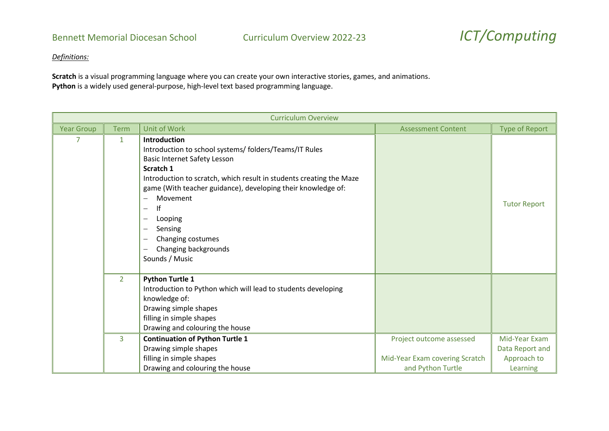*Definitions:*

**Scratch** is a visual programming language where you can create your own interactive stories, games, and animations. **Python** is a widely used general-purpose, high-level text based programming language.

| <b>Curriculum Overview</b> |                |                                                                                                                                                                                                                                                                                                                                                                                                                                                |                                                                                 |                                                             |
|----------------------------|----------------|------------------------------------------------------------------------------------------------------------------------------------------------------------------------------------------------------------------------------------------------------------------------------------------------------------------------------------------------------------------------------------------------------------------------------------------------|---------------------------------------------------------------------------------|-------------------------------------------------------------|
| <b>Year Group</b>          | <b>Term</b>    | <b>Unit of Work</b>                                                                                                                                                                                                                                                                                                                                                                                                                            | <b>Assessment Content</b>                                                       | <b>Type of Report</b>                                       |
|                            | $\mathbf{1}$   | <b>Introduction</b><br>Introduction to school systems/folders/Teams/IT Rules<br><b>Basic Internet Safety Lesson</b><br>Scratch 1<br>Introduction to scratch, which result in students creating the Maze<br>game (With teacher guidance), developing their knowledge of:<br>Movement<br>lf<br>Looping<br>$\overline{\phantom{m}}$<br>Sensing<br>Changing costumes<br>Changing backgrounds<br>$\overbrace{\phantom{12322111}}$<br>Sounds / Music |                                                                                 | <b>Tutor Report</b>                                         |
|                            | $\overline{2}$ | <b>Python Turtle 1</b><br>Introduction to Python which will lead to students developing<br>knowledge of:<br>Drawing simple shapes<br>filling in simple shapes<br>Drawing and colouring the house                                                                                                                                                                                                                                               |                                                                                 |                                                             |
|                            | 3              | <b>Continuation of Python Turtle 1</b><br>Drawing simple shapes<br>filling in simple shapes<br>Drawing and colouring the house                                                                                                                                                                                                                                                                                                                 | Project outcome assessed<br>Mid-Year Exam covering Scratch<br>and Python Turtle | Mid-Year Exam<br>Data Report and<br>Approach to<br>Learning |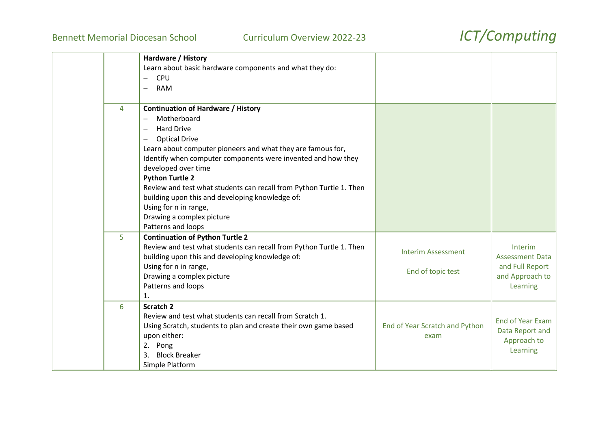|   | Hardware / History<br>Learn about basic hardware components and what they do:<br><b>CPU</b><br>$\overline{\phantom{m}}$<br><b>RAM</b><br>$\overline{\phantom{m}}$                                                                                                                                                                                                                                                                                                                                                                                   |                                                |                                                                                     |
|---|-----------------------------------------------------------------------------------------------------------------------------------------------------------------------------------------------------------------------------------------------------------------------------------------------------------------------------------------------------------------------------------------------------------------------------------------------------------------------------------------------------------------------------------------------------|------------------------------------------------|-------------------------------------------------------------------------------------|
| 4 | <b>Continuation of Hardware / History</b><br>Motherboard<br><b>Hard Drive</b><br>$\overline{\phantom{0}}$<br><b>Optical Drive</b><br>$\overline{\phantom{0}}$<br>Learn about computer pioneers and what they are famous for,<br>Identify when computer components were invented and how they<br>developed over time<br><b>Python Turtle 2</b><br>Review and test what students can recall from Python Turtle 1. Then<br>building upon this and developing knowledge of:<br>Using for n in range,<br>Drawing a complex picture<br>Patterns and loops |                                                |                                                                                     |
| 5 | <b>Continuation of Python Turtle 2</b><br>Review and test what students can recall from Python Turtle 1. Then<br>building upon this and developing knowledge of:<br>Using for n in range,<br>Drawing a complex picture<br>Patterns and loops<br>$\mathbf{1}$ .                                                                                                                                                                                                                                                                                      | <b>Interim Assessment</b><br>End of topic test | Interim<br><b>Assessment Data</b><br>and Full Report<br>and Approach to<br>Learning |
| 6 | <b>Scratch 2</b><br>Review and test what students can recall from Scratch 1.<br>Using Scratch, students to plan and create their own game based<br>upon either:<br>2. Pong<br>3.<br><b>Block Breaker</b><br>Simple Platform                                                                                                                                                                                                                                                                                                                         | End of Year Scratch and Python<br>exam         | <b>End of Year Exam</b><br>Data Report and<br>Approach to<br>Learning               |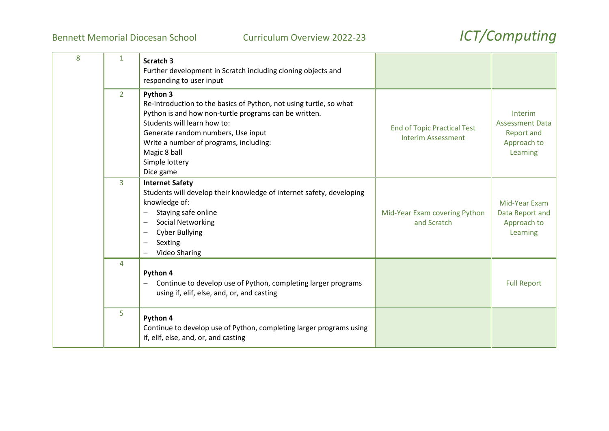| 8 | $\mathbf{1}$   | Scratch 3<br>Further development in Scratch including cloning objects and<br>responding to user input                                                                                                                                                                                                 |                                                                 |                                                                                   |
|---|----------------|-------------------------------------------------------------------------------------------------------------------------------------------------------------------------------------------------------------------------------------------------------------------------------------------------------|-----------------------------------------------------------------|-----------------------------------------------------------------------------------|
|   | $\overline{2}$ | Python 3<br>Re-introduction to the basics of Python, not using turtle, so what<br>Python is and how non-turtle programs can be written.<br>Students will learn how to:<br>Generate random numbers, Use input<br>Write a number of programs, including:<br>Magic 8 ball<br>Simple lottery<br>Dice game | <b>End of Topic Practical Test</b><br><b>Interim Assessment</b> | Interim<br><b>Assessment Data</b><br><b>Report and</b><br>Approach to<br>Learning |
|   | 3              | <b>Internet Safety</b><br>Students will develop their knowledge of internet safety, developing<br>knowledge of:<br>Staying safe online<br><b>Social Networking</b><br>$\overline{\phantom{0}}$<br><b>Cyber Bullying</b><br>Sexting<br>$\overline{\phantom{0}}$<br><b>Video Sharing</b>                | Mid-Year Exam covering Python<br>and Scratch                    | Mid-Year Exam<br>Data Report and<br>Approach to<br>Learning                       |
|   | $\overline{4}$ | Python 4<br>Continue to develop use of Python, completing larger programs<br>using if, elif, else, and, or, and casting                                                                                                                                                                               |                                                                 | <b>Full Report</b>                                                                |
|   | 5              | Python 4<br>Continue to develop use of Python, completing larger programs using<br>if, elif, else, and, or, and casting                                                                                                                                                                               |                                                                 |                                                                                   |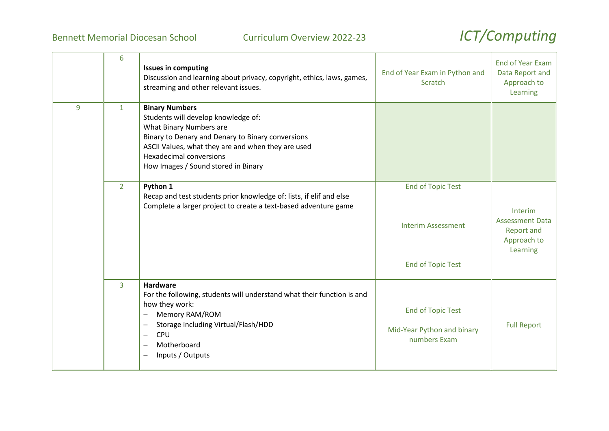|   | 6              | <b>Issues in computing</b><br>Discussion and learning about privacy, copyright, ethics, laws, games,<br>streaming and other relevant issues.                                                                                                                                                | End of Year Exam in Python and<br>Scratch                                         | <b>End of Year Exam</b><br>Data Report and<br>Approach to<br>Learning             |
|---|----------------|---------------------------------------------------------------------------------------------------------------------------------------------------------------------------------------------------------------------------------------------------------------------------------------------|-----------------------------------------------------------------------------------|-----------------------------------------------------------------------------------|
| 9 | $\mathbf{1}$   | <b>Binary Numbers</b><br>Students will develop knowledge of:<br>What Binary Numbers are<br>Binary to Denary and Denary to Binary conversions<br>ASCII Values, what they are and when they are used<br><b>Hexadecimal conversions</b><br>How Images / Sound stored in Binary                 |                                                                                   |                                                                                   |
|   | 2 <sup>1</sup> | Python 1<br>Recap and test students prior knowledge of: lists, if elif and else<br>Complete a larger project to create a text-based adventure game                                                                                                                                          | <b>End of Topic Test</b><br><b>Interim Assessment</b><br><b>End of Topic Test</b> | Interim<br><b>Assessment Data</b><br><b>Report and</b><br>Approach to<br>Learning |
|   | $\overline{3}$ | <b>Hardware</b><br>For the following, students will understand what their function is and<br>how they work:<br>Memory RAM/ROM<br>$\overline{\phantom{0}}$<br>Storage including Virtual/Flash/HDD<br>$\overline{\phantom{0}}$<br>CPU<br>$\qquad \qquad -$<br>Motherboard<br>Inputs / Outputs | <b>End of Topic Test</b><br>Mid-Year Python and binary<br>numbers Exam            | <b>Full Report</b>                                                                |